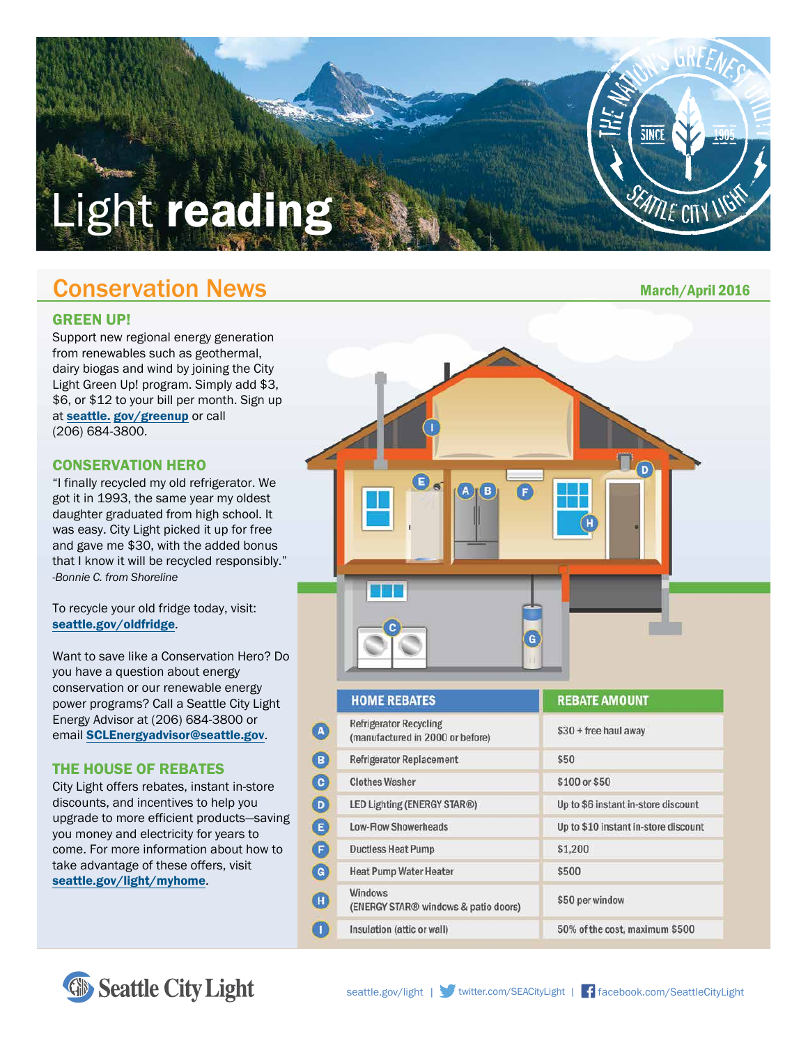# Light reading

# Conservation News

#### GREEN UP!

Support new regional energy generation from renewables such as geothermal, dairy biogas and wind by joining the City Light Green Up! program. Simply add \$3, \$6, or \$12 to your bill per month. Sign up at seattle. [gov/greenup](http://seattle.gov/greenup) or call (206) 684-3800.

## CONSERVATION HERO

"I finally recycled my old refrigerator. We got it in 1993, the same year my oldest daughter graduated from high school. It was easy. City Light picked it up for free and gave me \$30, with the added bonus that I know it will be recycled responsibly." *-Bonnie C. from Shoreline*

To recycle your old fridge today, visit: [seattle.gov/oldfridge](http://seattle.gov/oldfridge).

Want to save like a Conservation Hero? Do you have a question about energy conservation or our renewable energy power programs? Call a Seattle City Light Energy Advisor at (206) 684-3800 or email [SCLEnergyadvisor@seattle.gov](http://SCLEnergyadvisor@seattle.gov).

## THE HOUSE OF REBATES

City Light offers rebates, instant in-store discounts, and incentives to help you upgrade to more efficient products—saving you money and electricity for years to come. For more information about how to take advantage of these offers, visit [seattle.gov/light/myhome](http://seattle.gov/light/myhome).



March/April 2016

SEATTLE CITY LIGHT

**SINC** 

| <b>HOME REBATES</b>                                               | <b>REBATE AMOUNT</b>                 |  |
|-------------------------------------------------------------------|--------------------------------------|--|
| <b>Refrigerator Recycling</b><br>(manufactured in 2000 or before) | \$30 + free haul away                |  |
| <b>Refrigerator Replacement</b>                                   | \$50                                 |  |
| <b>Clothes Washer</b>                                             | \$100 or \$50                        |  |
| LED Lighting (ENERGY STAR®)                                       | Up to \$6 instant in-store discount  |  |
| <b>Low-Flow Showerheads</b>                                       | Up to \$10 instant in-store discount |  |
| <b>Ductless Heat Pump</b>                                         | \$1,200                              |  |
| <b>Heat Pump Water Heater</b>                                     | \$500                                |  |
| <b>Windows</b><br>(ENERGY STAR® windows & patio doors)            | \$50 per window                      |  |
| Insulation (attic or wall)                                        | 50% of the cost, maximum \$500       |  |